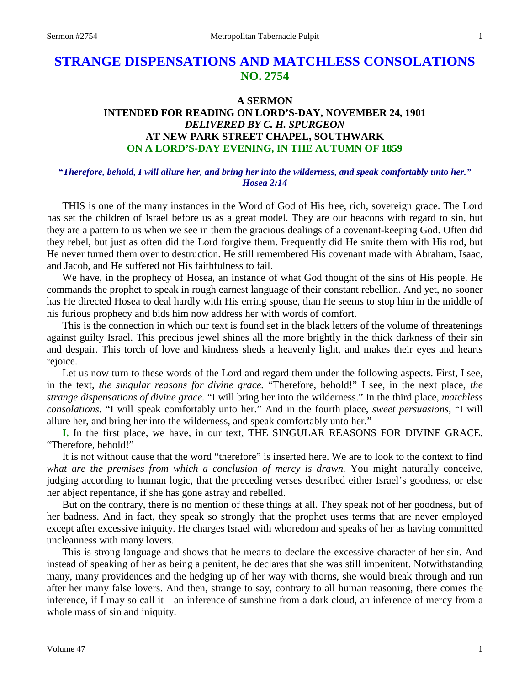# **STRANGE DISPENSATIONS AND MATCHLESS CONSOLATIONS NO. 2754**

# **A SERMON INTENDED FOR READING ON LORD'S-DAY, NOVEMBER 24, 1901** *DELIVERED BY C. H. SPURGEON* **AT NEW PARK STREET CHAPEL, SOUTHWARK ON A LORD'S-DAY EVENING, IN THE AUTUMN OF 1859**

## *"Therefore, behold, I will allure her, and bring her into the wilderness, and speak comfortably unto her." Hosea 2:14*

THIS is one of the many instances in the Word of God of His free, rich, sovereign grace. The Lord has set the children of Israel before us as a great model. They are our beacons with regard to sin, but they are a pattern to us when we see in them the gracious dealings of a covenant-keeping God. Often did they rebel, but just as often did the Lord forgive them. Frequently did He smite them with His rod, but He never turned them over to destruction. He still remembered His covenant made with Abraham, Isaac, and Jacob, and He suffered not His faithfulness to fail.

We have, in the prophecy of Hosea, an instance of what God thought of the sins of His people. He commands the prophet to speak in rough earnest language of their constant rebellion. And yet, no sooner has He directed Hosea to deal hardly with His erring spouse, than He seems to stop him in the middle of his furious prophecy and bids him now address her with words of comfort.

This is the connection in which our text is found set in the black letters of the volume of threatenings against guilty Israel. This precious jewel shines all the more brightly in the thick darkness of their sin and despair. This torch of love and kindness sheds a heavenly light, and makes their eyes and hearts rejoice.

Let us now turn to these words of the Lord and regard them under the following aspects. First, I see, in the text, *the singular reasons for divine grace.* "Therefore, behold!" I see, in the next place, *the strange dispensations of divine grace.* "I will bring her into the wilderness." In the third place, *matchless consolations.* "I will speak comfortably unto her." And in the fourth place, *sweet persuasions*, "I will allure her, and bring her into the wilderness, and speak comfortably unto her."

**I.** In the first place, we have, in our text, THE SINGULAR REASONS FOR DIVINE GRACE. "Therefore, behold!"

It is not without cause that the word "therefore" is inserted here. We are to look to the context to find *what are the premises from which a conclusion of mercy is drawn.* You might naturally conceive, judging according to human logic, that the preceding verses described either Israel's goodness, or else her abject repentance, if she has gone astray and rebelled.

But on the contrary, there is no mention of these things at all. They speak not of her goodness, but of her badness. And in fact, they speak so strongly that the prophet uses terms that are never employed except after excessive iniquity. He charges Israel with whoredom and speaks of her as having committed uncleanness with many lovers.

This is strong language and shows that he means to declare the excessive character of her sin. And instead of speaking of her as being a penitent, he declares that she was still impenitent. Notwithstanding many, many providences and the hedging up of her way with thorns, she would break through and run after her many false lovers. And then, strange to say, contrary to all human reasoning, there comes the inference, if I may so call it—an inference of sunshine from a dark cloud, an inference of mercy from a whole mass of sin and iniquity.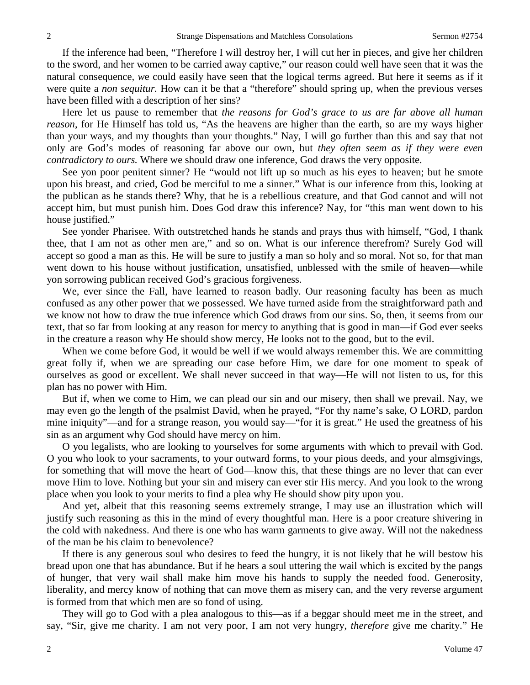If the inference had been, "Therefore I will destroy her, I will cut her in pieces, and give her children to the sword, and her women to be carried away captive," our reason could well have seen that it was the natural consequence*, w*e could easily have seen that the logical terms agreed. But here it seems as if it were quite a *non sequitur.* How can it be that a "therefore" should spring up, when the previous verses have been filled with a description of her sins?

Here let us pause to remember that *the reasons for God's grace to us are far above all human reason*, for He Himself has told us, "As the heavens are higher than the earth, so are my ways higher than your ways, and my thoughts than your thoughts." Nay, I will go further than this and say that not only are God's modes of reasoning far above our own, but *they often seem as if they were even contradictory to ours.* Where we should draw one inference, God draws the very opposite.

See yon poor penitent sinner? He "would not lift up so much as his eyes to heaven; but he smote upon his breast, and cried, God be merciful to me a sinner." What is our inference from this, looking at the publican as he stands there? Why, that he is a rebellious creature, and that God cannot and will not accept him, but must punish him. Does God draw this inference? Nay, for "this man went down to his house justified."

See yonder Pharisee. With outstretched hands he stands and prays thus with himself, "God*,* I thank thee, that I am not as other men are," and so on. What is our inference therefrom? Surely God will accept so good a man as this. He will be sure to justify a man so holy and so moral. Not so, for that man went down to his house without justification, unsatisfied, unblessed with the smile of heaven—while yon sorrowing publican received God's gracious forgiveness.

We, ever since the Fall, have learned to reason badly. Our reasoning faculty has been as much confused as any other power that we possessed. We have turned aside from the straightforward path and we know not how to draw the true inference which God draws from our sins. So, then, it seems from our text, that so far from looking at any reason for mercy to anything that is good in man—if God ever seeks in the creature a reason why He should show mercy, He looks not to the good, but to the evil.

When we come before God, it would be well if we would always remember this. We are committing great folly if, when we are spreading our case before Him, we dare for one moment to speak of ourselves as good or excellent. We shall never succeed in that way—He will not listen to us, for this plan has no power with Him.

But if, when we come to Him, we can plead our sin and our misery, then shall we prevail. Nay, we may even go the length of the psalmist David, when he prayed, "For thy name's sake, O LORD, pardon mine iniquity"—and for a strange reason, you would say—"for it is great." He used the greatness of his sin as an argument why God should have mercy on him.

O you legalists, who are looking to yourselves for some arguments with which to prevail with God. O you who look to your sacraments, to your outward forms, to your pious deeds, and your almsgivings, for something that will move the heart of God—know this, that these things are no lever that can ever move Him to love. Nothing but your sin and misery can ever stir His mercy. And you look to the wrong place when you look to your merits to find a plea why He should show pity upon you.

And yet, albeit that this reasoning seems extremely strange, I may use an illustration which will justify such reasoning as this in the mind of every thoughtful man. Here is a poor creature shivering in the cold with nakedness. And there is one who has warm garments to give away. Will not the nakedness of the man be his claim to benevolence?

If there is any generous soul who desires to feed the hungry, it is not likely that he will bestow his bread upon one that has abundance. But if he hears a soul uttering the wail which is excited by the pangs of hunger, that very wail shall make him move his hands to supply the needed food. Generosity, liberality, and mercy know of nothing that can move them as misery can, and the very reverse argument is formed from that which men are so fond of using.

They will go to God with a plea analogous to this—as if a beggar should meet me in the street, and say, "Sir, give me charity. I am not very poor, I am not very hungry, *therefore* give me charity." He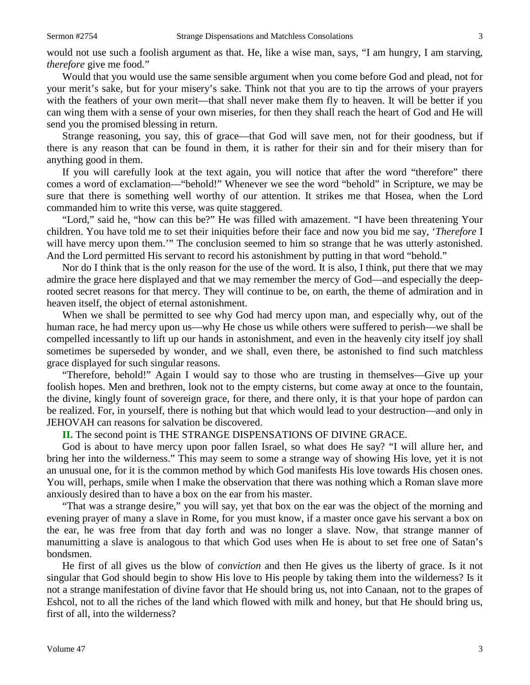would not use such a foolish argument as that. He, like a wise man, says, "I am hungry, I am starving, *therefore* give me food."

Would that you would use the same sensible argument when you come before God and plead, not for your merit's sake, but for your misery's sake. Think not that you are to tip the arrows of your prayers with the feathers of your own merit—that shall never make them fly to heaven. It will be better if you can wing them with a sense of your own miseries, for then they shall reach the heart of God and He will send you the promised blessing in return.

Strange reasoning, you say, this of grace—that God will save men, not for their goodness, but if there is any reason that can be found in them, it is rather for their sin and for their misery than for anything good in them.

If you will carefully look at the text again, you will notice that after the word "therefore" there comes a word of exclamation—"behold!" Whenever we see the word "behold" in Scripture, we may be sure that there is something well worthy of our attention. It strikes me that Hosea, when the Lord commanded him to write this verse, was quite staggered.

"Lord," said he, "how can this be?" He was filled with amazement. "I have been threatening Your children. You have told me to set their iniquities before their face and now you bid me say, '*Therefore* I will have mercy upon them.'" The conclusion seemed to him so strange that he was utterly astonished. And the Lord permitted His servant to record his astonishment by putting in that word "behold."

Nor do I think that is the only reason for the use of the word. It is also, I think, put there that we may admire the grace here displayed and that we may remember the mercy of God—and especially the deeprooted secret reasons for that mercy. They will continue to be, on earth, the theme of admiration and in heaven itself, the object of eternal astonishment.

When we shall be permitted to see why God had mercy upon man, and especially why, out of the human race, he had mercy upon us—why He chose us while others were suffered to perish—we shall be compelled incessantly to lift up our hands in astonishment, and even in the heavenly city itself joy shall sometimes be superseded by wonder, and we shall, even there, be astonished to find such matchless grace displayed for such singular reasons.

"Therefore, behold!" Again I would say to those who are trusting in themselves—Give up your foolish hopes. Men and brethren, look not to the empty cisterns, but come away at once to the fountain, the divine, kingly fount of sovereign grace, for there, and there only, it is that your hope of pardon can be realized. For, in yourself, there is nothing but that which would lead to your destruction—and only in JEHOVAH can reasons for salvation be discovered.

### **II.** The second point is THE STRANGE DISPENSATIONS OF DIVINE GRACE.

God is about to have mercy upon poor fallen Israel, so what does He say? "I will allure her, and bring her into the wilderness." This may seem to some a strange way of showing His love, yet it is not an unusual one, for it is the common method by which God manifests His love towards His chosen ones. You will, perhaps, smile when I make the observation that there was nothing which a Roman slave more anxiously desired than to have a box on the ear from his master.

"That was a strange desire," you will say, yet that box on the ear was the object of the morning and evening prayer of many a slave in Rome, for you must know, if a master once gave his servant a box on the ear, he was free from that day forth and was no longer a slave. Now, that strange manner of manumitting a slave is analogous to that which God uses when He is about to set free one of Satan's bondsmen.

He first of all gives us the blow of *conviction* and then He gives us the liberty of grace. Is it not singular that God should begin to show His love to His people by taking them into the wilderness? Is it not a strange manifestation of divine favor that He should bring us, not into Canaan, not to the grapes of Eshcol, not to all the riches of the land which flowed with milk and honey, but that He should bring us, first of all, into the wilderness?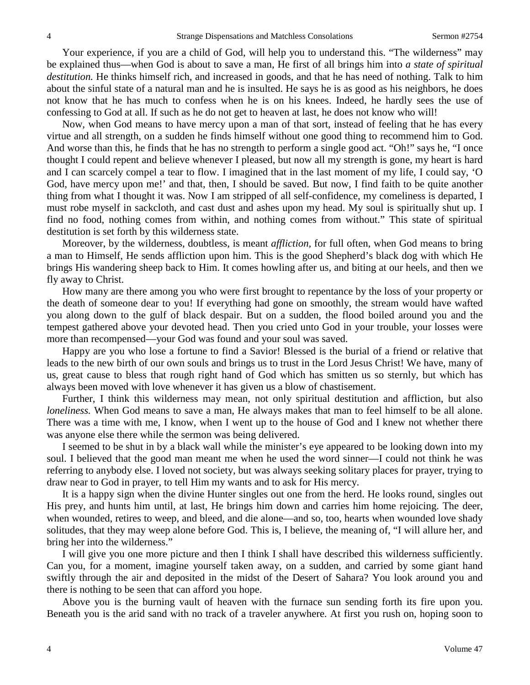Your experience, if you are a child of God, will help you to understand this. "The wilderness" may be explained thus—when God is about to save a man, He first of all brings him into *a state of spiritual destitution.* He thinks himself rich, and increased in goods, and that he has need of nothing. Talk to him about the sinful state of a natural man and he is insulted. He says he is as good as his neighbors, he does not know that he has much to confess when he is on his knees. Indeed, he hardly sees the use of confessing to God at all. If such as he do not get to heaven at last, he does not know who will!

Now, when God means to have mercy upon a man of that sort, instead of feeling that he has every virtue and all strength, on a sudden he finds himself without one good thing to recommend him to God. And worse than this, he finds that he has no strength to perform a single good act. "Oh!" says he, "I once thought I could repent and believe whenever I pleased, but now all my strength is gone, my heart is hard and I can scarcely compel a tear to flow. I imagined that in the last moment of my life, I could say, 'O God, have mercy upon me!' and that, then, I should be saved. But now, I find faith to be quite another thing from what I thought it was. Now I am stripped of all self-confidence, my comeliness is departed, I must robe myself in sackcloth, and cast dust and ashes upon my head. My soul is spiritually shut up. I find no food, nothing comes from within, and nothing comes from without." This state of spiritual destitution is set forth by this wilderness state.

Moreover, by the wilderness, doubtless, is meant *affliction,* for full often, when God means to bring a man to Himself, He sends affliction upon him. This is the good Shepherd's black dog with which He brings His wandering sheep back to Him. It comes howling after us, and biting at our heels, and then we fly away to Christ.

How many are there among you who were first brought to repentance by the loss of your property or the death of someone dear to you! If everything had gone on smoothly, the stream would have wafted you along down to the gulf of black despair. But on a sudden, the flood boiled around you and the tempest gathered above your devoted head. Then you cried unto God in your trouble, your losses were more than recompensed—your God was found and your soul was saved.

Happy are you who lose a fortune to find a Savior! Blessed is the burial of a friend or relative that leads to the new birth of our own souls and brings us to trust in the Lord Jesus Christ! We have, many of us, great cause to bless that rough right hand of God which has smitten us so sternly, but which has always been moved with love whenever it has given us a blow of chastisement.

Further, I think this wilderness may mean, not only spiritual destitution and affliction, but also *loneliness.* When God means to save a man, He always makes that man to feel himself to be all alone. There was a time with me, I know, when I went up to the house of God and I knew not whether there was anyone else there while the sermon was being delivered.

I seemed to be shut in by a black wall while the minister's eye appeared to be looking down into my soul. I believed that the good man meant me when he used the word sinner—I could not think he was referring to anybody else. I loved not society, but was always seeking solitary places for prayer, trying to draw near to God in prayer, to tell Him my wants and to ask for His mercy.

It is a happy sign when the divine Hunter singles out one from the herd. He looks round, singles out His prey, and hunts him until, at last, He brings him down and carries him home rejoicing. The deer, when wounded, retires to weep, and bleed, and die alone—and so, too, hearts when wounded love shady solitudes, that they may weep alone before God. This is, I believe, the meaning of, "I will allure her, and bring her into the wilderness."

I will give you one more picture and then I think I shall have described this wilderness sufficiently. Can you, for a moment, imagine yourself taken away, on a sudden, and carried by some giant hand swiftly through the air and deposited in the midst of the Desert of Sahara? You look around you and there is nothing to be seen that can afford you hope.

Above you is the burning vault of heaven with the furnace sun sending forth its fire upon you. Beneath you is the arid sand with no track of a traveler anywhere. At first you rush on, hoping soon to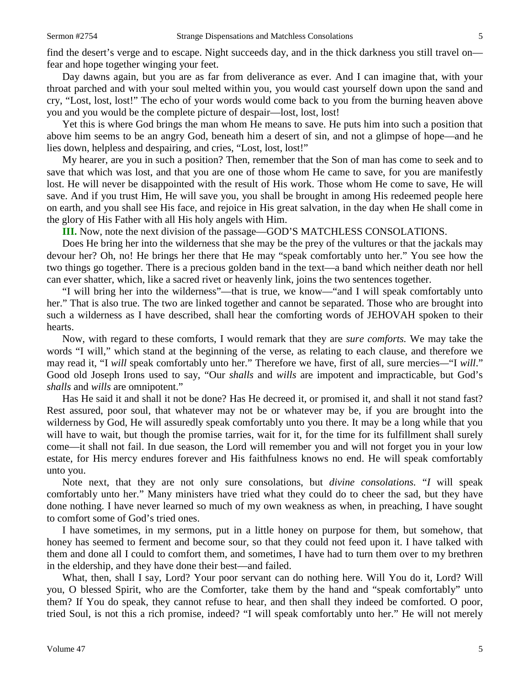find the desert's verge and to escape. Night succeeds day, and in the thick darkness you still travel on fear and hope together winging your feet.

Day dawns again, but you are as far from deliverance as ever. And I can imagine that, with your throat parched and with your soul melted within you, you would cast yourself down upon the sand and cry, "Lost, lost, lost!" The echo of your words would come back to you from the burning heaven above you and you would be the complete picture of despair—lost, lost, lost!

Yet this is where God brings the man whom He means to save. He puts him into such a position that above him seems to be an angry God, beneath him a desert of sin, and not a glimpse of hope—and he lies down, helpless and despairing, and cries, "Lost, lost, lost!"

My hearer, are you in such a position? Then, remember that the Son of man has come to seek and to save that which was lost, and that you are one of those whom He came to save, for you are manifestly lost. He will never be disappointed with the result of His work. Those whom He come to save, He will save. And if you trust Him, He will save you, you shall be brought in among His redeemed people here on earth, and you shall see His face, and rejoice in His great salvation, in the day when He shall come in the glory of His Father with all His holy angels with Him.

**III.** Now, note the next division of the passage—GOD'S MATCHLESS CONSOLATIONS.

Does He bring her into the wilderness that she may be the prey of the vultures or that the jackals may devour her? Oh, no! He brings her there that He may "speak comfortably unto her." You see how the two things go together. There is a precious golden band in the text—a band which neither death nor hell can ever shatter, which, like a sacred rivet or heavenly link, joins the two sentences together.

"I will bring her into the wilderness"—that is true, we know—"and I will speak comfortably unto her." That is also true. The two are linked together and cannot be separated. Those who are brought into such a wilderness as I have described, shall hear the comforting words of JEHOVAH spoken to their hearts.

Now, with regard to these comforts, I would remark that they are *sure comforts.* We may take the words "I will," which stand at the beginning of the verse, as relating to each clause, and therefore we may read it, "I *will* speak comfortably unto her." Therefore we have, first of all, sure mercies*—*"I *will*." Good old Joseph Irons used to say, "Our *shalls* and *wills* are impotent and impracticable, but God's *shalls* and *wills* are omnipotent."

Has He said it and shall it not be done? Has He decreed it, or promised it, and shall it not stand fast? Rest assured, poor soul, that whatever may not be or whatever may be, if you are brought into the wilderness by God, He will assuredly speak comfortably unto you there. It may be a long while that you will have to wait, but though the promise tarries, wait for it, for the time for its fulfillment shall surely come—it shall not fail. In due season, the Lord will remember you and will not forget you in your low estate, for His mercy endures forever and His faithfulness knows no end. He will speak comfortably unto you.

Note next, that they are not only sure consolations, but *divine consolations.* "*I* will speak comfortably unto her." Many ministers have tried what they could do to cheer the sad, but they have done nothing. I have never learned so much of my own weakness as when, in preaching, I have sought to comfort some of God's tried ones.

I have sometimes, in my sermons, put in a little honey on purpose for them, but somehow, that honey has seemed to ferment and become sour, so that they could not feed upon it. I have talked with them and done all I could to comfort them, and sometimes, I have had to turn them over to my brethren in the eldership, and they have done their best—and failed.

What, then, shall I say, Lord? Your poor servant can do nothing here. Will You do it, Lord? Will you, O blessed Spirit, who are the Comforter, take them by the hand and "speak comfortably" unto them? If You do speak, they cannot refuse to hear, and then shall they indeed be comforted. O poor, tried Soul, is not this a rich promise, indeed? "I will speak comfortably unto her." He will not merely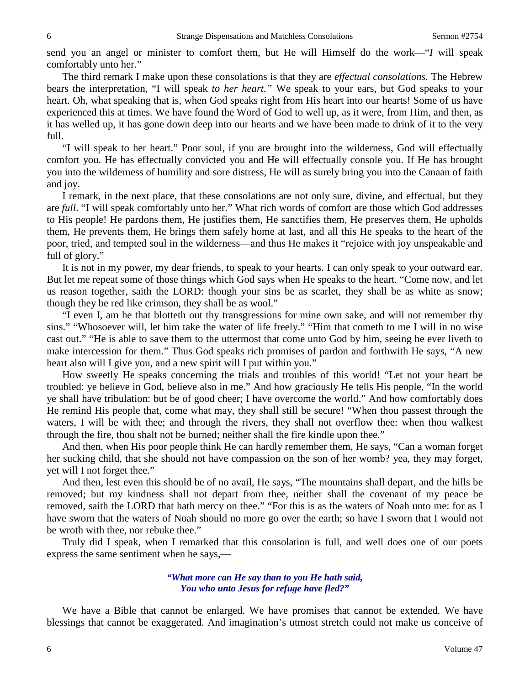send you an angel or minister to comfort them, but He will Himself do the work—"*I* will speak comfortably unto her."

The third remark I make upon these consolations is that they are *effectual consolations.* The Hebrew bears the interpretation, "I will speak *to her heart."* We speak to your ears, but God speaks to your heart. Oh, what speaking that is, when God speaks right from His heart into our hearts! Some of us have experienced this at times. We have found the Word of God to well up, as it were, from Him, and then, as it has welled up, it has gone down deep into our hearts and we have been made to drink of it to the very full.

"I will speak to her heart." Poor soul, if you are brought into the wilderness, God will effectually comfort you. He has effectually convicted you and He will effectually console you. If He has brought you into the wilderness of humility and sore distress, He will as surely bring you into the Canaan of faith and joy.

I remark, in the next place, that these consolations are not only sure, divine, and effectual, but they are *full*. "I will speak comfortably unto her." What rich words of comfort are those which God addresses to His people! He pardons them, He justifies them, He sanctifies them, He preserves them, He upholds them, He prevents them, He brings them safely home at last, and all this He speaks to the heart of the poor, tried, and tempted soul in the wilderness—and thus He makes it "rejoice with joy unspeakable and full of glory."

It is not in my power, my dear friends, to speak to your hearts. I can only speak to your outward ear. But let me repeat some of those things which God says when He speaks to the heart. "Come now, and let us reason together, saith the LORD: though your sins be as scarlet, they shall be as white as snow; though they be red like crimson, they shall be as wool."

"I even I, am he that blotteth out thy transgressions for mine own sake, and will not remember thy sins." "Whosoever will, let him take the water of life freely." "Him that cometh to me I will in no wise cast out." "He is able to save them to the uttermost that come unto God by him, seeing he ever liveth to make intercession for them." Thus God speaks rich promises of pardon and forthwith He says, "A new heart also will I give you, and a new spirit will I put within you."

How sweetly He speaks concerning the trials and troubles of this world! "Let not your heart be troubled: ye believe in God, believe also in me." And how graciously He tells His people, "In the world ye shall have tribulation: but be of good cheer; I have overcome the world." And how comfortably does He remind His people that, come what may, they shall still be secure! "When thou passest through the waters, I will be with thee; and through the rivers, they shall not overflow thee: when thou walkest through the fire, thou shalt not be burned; neither shall the fire kindle upon thee."

And then, when His poor people think He can hardly remember them, He says, "Can a woman forget her sucking child, that she should not have compassion on the son of her womb? yea, they may forget, yet will I not forget thee."

And then, lest even this should be of no avail, He says, "The mountains shall depart, and the hills be removed; but my kindness shall not depart from thee, neither shall the covenant of my peace be removed, saith the LORD that hath mercy on thee." "For this is as the waters of Noah unto me: for as I have sworn that the waters of Noah should no more go over the earth; so have I sworn that I would not be wroth with thee, nor rebuke thee."

Truly did I speak, when I remarked that this consolation is full, and well does one of our poets express the same sentiment when he says,—

#### *"What more can He say than to you He hath said, You who unto Jesus for refuge have fled?"*

We have a Bible that cannot be enlarged. We have promises that cannot be extended. We have blessings that cannot be exaggerated. And imagination's utmost stretch could not make us conceive of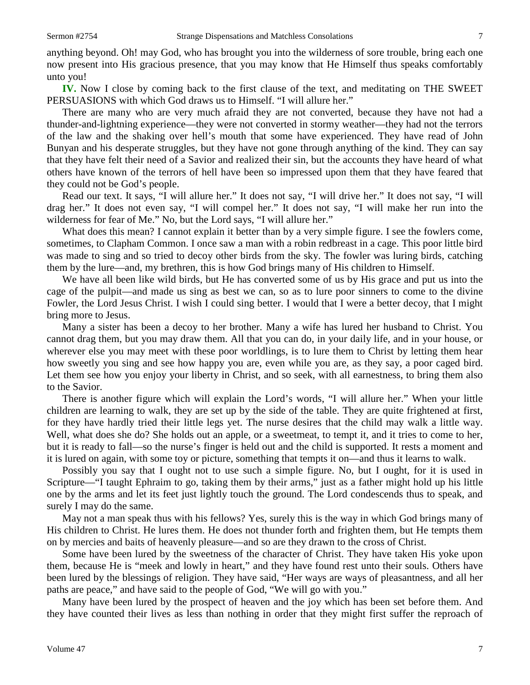anything beyond. Oh! may God, who has brought you into the wilderness of sore trouble, bring each one now present into His gracious presence, that you may know that He Himself thus speaks comfortably unto you!

**IV.** Now I close by coming back to the first clause of the text, and meditating on THE SWEET PERSUASIONS with which God draws us to Himself. "I will allure her."

There are many who are very much afraid they are not converted, because they have not had a thunder-and-lightning experience—they were not converted in stormy weather—they had not the terrors of the law and the shaking over hell's mouth that some have experienced. They have read of John Bunyan and his desperate struggles, but they have not gone through anything of the kind. They can say that they have felt their need of a Savior and realized their sin, but the accounts they have heard of what others have known of the terrors of hell have been so impressed upon them that they have feared that they could not be God's people.

Read our text. It says, "I will allure her." It does not say, "I will drive her." It does not say, "I will drag her." It does not even say, "I will compel her." It does not say, "I will make her run into the wilderness for fear of Me." No, but the Lord says, "I will allure her."

What does this mean? I cannot explain it better than by a very simple figure. I see the fowlers come, sometimes, to Clapham Common. I once saw a man with a robin redbreast in a cage. This poor little bird was made to sing and so tried to decoy other birds from the sky. The fowler was luring birds, catching them by the lure—and, my brethren, this is how God brings many of His children to Himself.

We have all been like wild birds, but He has converted some of us by His grace and put us into the cage of the pulpit—and made us sing as best we can, so as to lure poor sinners to come to the divine Fowler, the Lord Jesus Christ. I wish I could sing better. I would that I were a better decoy, that I might bring more to Jesus.

Many a sister has been a decoy to her brother. Many a wife has lured her husband to Christ. You cannot drag them, but you may draw them. All that you can do, in your daily life, and in your house, or wherever else you may meet with these poor worldlings, is to lure them to Christ by letting them hear how sweetly you sing and see how happy you are, even while you are, as they say, a poor caged bird. Let them see how you enjoy your liberty in Christ, and so seek, with all earnestness, to bring them also to the Savior.

There is another figure which will explain the Lord's words, "I will allure her." When your little children are learning to walk, they are set up by the side of the table. They are quite frightened at first, for they have hardly tried their little legs yet. The nurse desires that the child may walk a little way. Well, what does she do? She holds out an apple, or a sweetmeat, to tempt it, and it tries to come to her, but it is ready to fall—so the nurse's finger is held out and the child is supported. It rests a moment and it is lured on again, with some toy or picture, something that tempts it on—and thus it learns to walk.

Possibly you say that I ought not to use such a simple figure. No, but I ought, for it is used in Scripture—"I taught Ephraim to go, taking them by their arms," just as a father might hold up his little one by the arms and let its feet just lightly touch the ground. The Lord condescends thus to speak, and surely I may do the same.

May not a man speak thus with his fellows? Yes, surely this is the way in which God brings many of His children to Christ. He lures them. He does not thunder forth and frighten them, but He tempts them on by mercies and baits of heavenly pleasure—and so are they drawn to the cross of Christ.

Some have been lured by the sweetness of the character of Christ. They have taken His yoke upon them, because He is "meek and lowly in heart," and they have found rest unto their souls. Others have been lured by the blessings of religion. They have said, "Her ways are ways of pleasantness, and all her paths are peace," and have said to the people of God, "We will go with you."

Many have been lured by the prospect of heaven and the joy which has been set before them. And they have counted their lives as less than nothing in order that they might first suffer the reproach of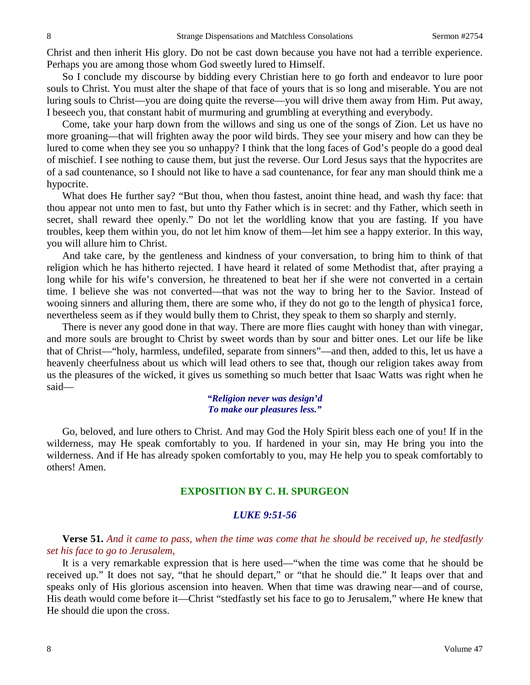Christ and then inherit His glory. Do not be cast down because you have not had a terrible experience. Perhaps you are among those whom God sweetly lured to Himself.

So I conclude my discourse by bidding every Christian here to go forth and endeavor to lure poor souls to Christ. You must alter the shape of that face of yours that is so long and miserable. You are not luring souls to Christ—you are doing quite the reverse—you will drive them away from Him. Put away, I beseech you, that constant habit of murmuring and grumbling at everything and everybody.

Come, take your harp down from the willows and sing us one of the songs of Zion. Let us have no more groaning—that will frighten away the poor wild birds. They see your misery and how can they be lured to come when they see you so unhappy? I think that the long faces of God's people do a good deal of mischief. I see nothing to cause them, but just the reverse. Our Lord Jesus says that the hypocrites are of a sad countenance, so I should not like to have a sad countenance, for fear any man should think me a hypocrite.

What does He further say? "But thou, when thou fastest, anoint thine head, and wash thy face: that thou appear not unto men to fast, but unto thy Father which is in secret: and thy Father, which seeth in secret, shall reward thee openly." Do not let the worldling know that you are fasting. If you have troubles, keep them within you, do not let him know of them—let him see a happy exterior. In this way, you will allure him to Christ.

And take care, by the gentleness and kindness of your conversation, to bring him to think of that religion which he has hitherto rejected. I have heard it related of some Methodist that, after praying a long while for his wife's conversion, he threatened to beat her if she were not converted in a certain time. I believe she was not converted—that was not the way to bring her to the Savior. Instead of wooing sinners and alluring them, there are some who, if they do not go to the length of physica1 force, nevertheless seem as if they would bully them to Christ, they speak to them so sharply and sternly.

There is never any good done in that way. There are more flies caught with honey than with vinegar, and more souls are brought to Christ by sweet words than by sour and bitter ones. Let our life be like that of Christ—"holy, harmless, undefiled, separate from sinners"—and then, added to this, let us have a heavenly cheerfulness about us which will lead others to see that, though our religion takes away from us the pleasures of the wicked, it gives us something so much better that Isaac Watts was right when he said—

#### *"Religion never was design'd To make our pleasures less."*

Go, beloved, and lure others to Christ. And may God the Holy Spirit bless each one of you! If in the wilderness, may He speak comfortably to you. If hardened in your sin, may He bring you into the wilderness. And if He has already spoken comfortably to you, may He help you to speak comfortably to others! Amen.

#### **EXPOSITION BY C. H. SPURGEON**

### *LUKE 9:51-56*

**Verse 51.** *And it came to pass, when the time was come that he should be received up, he stedfastly set his face to go to Jerusalem,*

It is a very remarkable expression that is here used—"when the time was come that he should be received up." It does not say, "that he should depart," or "that he should die." It leaps over that and speaks only of His glorious ascension into heaven. When that time was drawing near—and of course, His death would come before it—Christ "stedfastly set his face to go to Jerusalem," where He knew that He should die upon the cross.